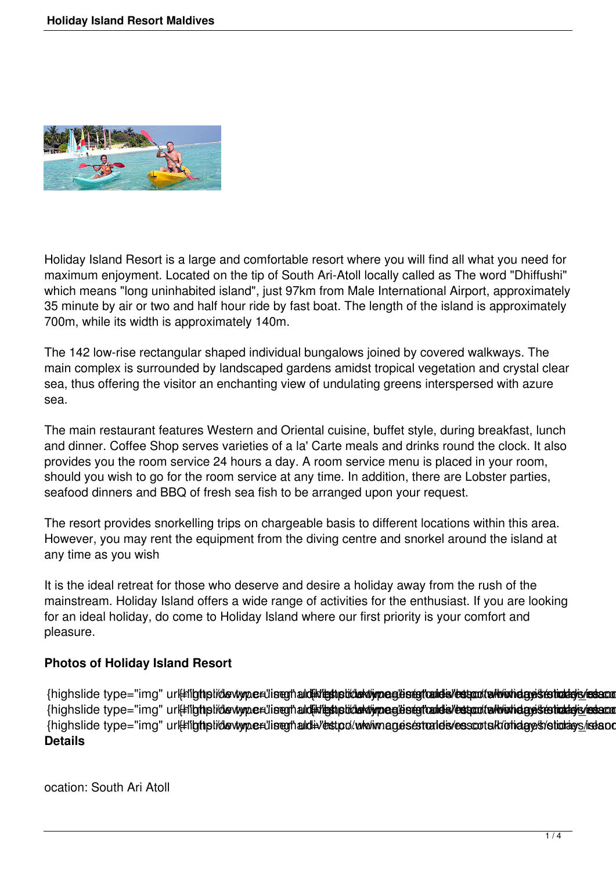

Holiday Island Resort is a large and comfortable resort where you will find all what you need for maximum enjoyment. Located on the tip of South Ari-Atoll locally called as The word "Dhiffushi" which means "long uninhabited island", just 97km from Male International Airport, approximately 35 minute by air or two and half hour ride by fast boat. The length of the island is approximately 700m, while its width is approximately 140m.

The 142 low-rise rectangular shaped individual bungalows joined by covered walkways. The main complex is surrounded by landscaped gardens amidst tropical vegetation and crystal clear sea, thus offering the visitor an enchanting view of undulating greens interspersed with azure sea.

The main restaurant features Western and Oriental cuisine, buffet style, during breakfast, lunch and dinner. Coffee Shop serves varieties of a la' Carte meals and drinks round the clock. It also provides you the room service 24 hours a day. A room service menu is placed in your room, should you wish to go for the room service at any time. In addition, there are Lobster parties, seafood dinners and BBQ of fresh sea fish to be arranged upon your request.

The resort provides snorkelling trips on chargeable basis to different locations within this area. However, you may rent the equipment from the diving centre and snorkel around the island at any time as you wish

It is the ideal retreat for those who deserve and desire a holiday away from the rush of the mainstream. Holiday Island offers a wide range of activities for the enthusiast. If you are looking for an ideal holiday, do come to Holiday Island where our first priority is your comfort and pleasure.

## **Photos of Holiday Island Resort**

{highslide type="img" url#flgthplidewtype#liseghald#ditethpliddewtypeglisegftald="estantialworldagesterhaldgis/estand {highslide type="img" ur#ligthplidewype#liseghald#dethplidaMiymeglestgtald="estantaMionidaystehathsis/estant {highslide type="img" url#ligtiplidevtype#liseghald#vestpo/www.magesestrateis/esscots/k/otidaye/s/stiotays/iseand **Details**

ocation: South Ari Atoll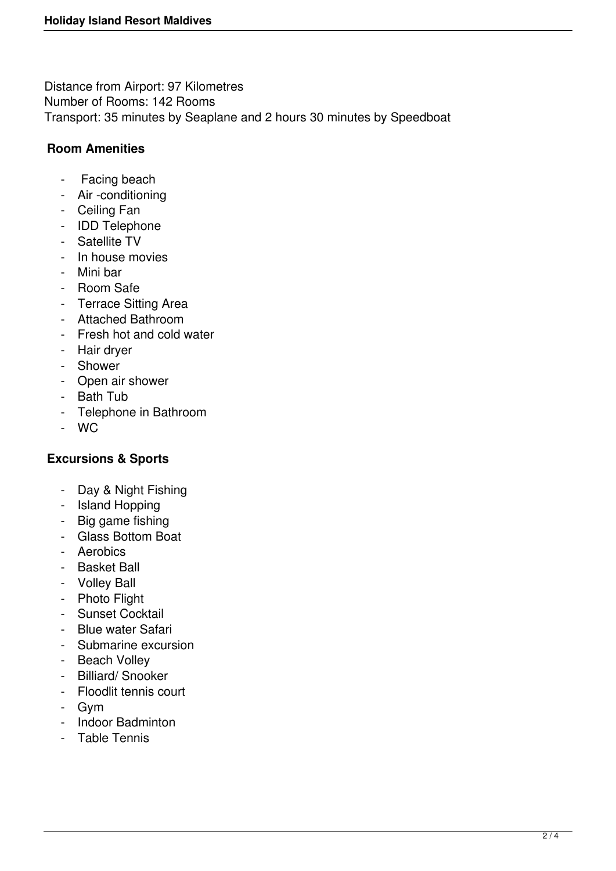Distance from Airport: 97 Kilometres Number of Rooms: 142 Rooms Transport: 35 minutes by Seaplane and 2 hours 30 minutes by Speedboat

## **Room Amenities**

- Facing beach
- Air -conditioning
- Ceiling Fan
- IDD Telephone
- Satellite TV
- In house movies
- Mini bar
- Room Safe
- Terrace Sitting Area
- Attached Bathroom
- Fresh hot and cold water
- Hair dryer
- Shower
- Open air shower
- Bath Tub
- Telephone in Bathroom
- WC

## **Excursions & Sports**

- Day & Night Fishing
- Island Hopping
- Big game fishing
- Glass Bottom Boat
- Aerobics
- Basket Ball
- Volley Ball
- Photo Flight
- Sunset Cocktail
- Blue water Safari
- Submarine excursion
- Beach Volley
- Billiard/ Snooker
- Floodlit tennis court
- Gym
- Indoor Badminton
- Table Tennis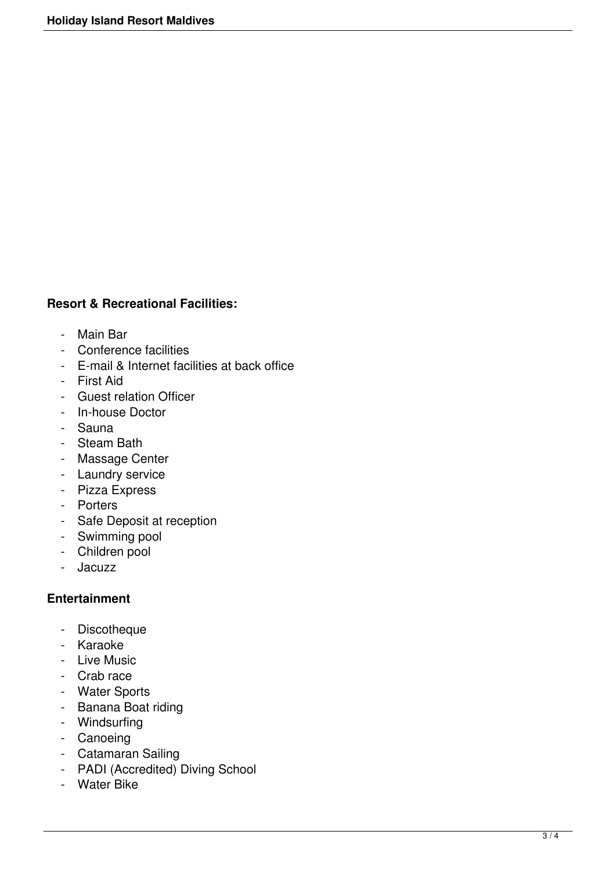## **Resort & Recreational Facilities:**

- Main Bar
- Conference facilities
- E-mail & Internet facilities at back office
- First Aid
- Guest relation Officer
- In-house Doctor
- Sauna
- Steam Bath
- Massage Center
- Laundry service
- Pizza Express
- Porters
- Safe Deposit at reception
- Swimming pool
- Children pool
- Jacuzz

## **Entertainment**

- Discotheque
- Karaoke
- Live Music
- Crab race
- Water Sports
- Banana Boat riding
- Windsurfing
- Canoeing
- Catamaran Sailing
- PADI (Accredited) Diving School
- Water Bike